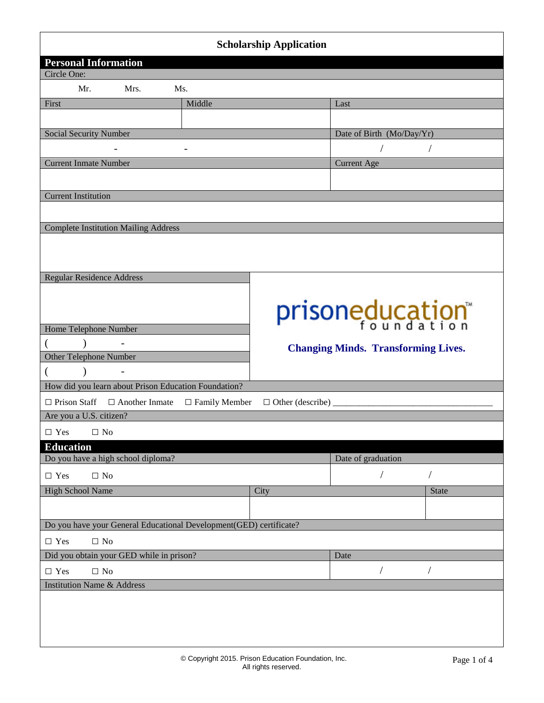| <b>Scholarship Application</b>                                     |                                            |                                |                           |                |  |  |
|--------------------------------------------------------------------|--------------------------------------------|--------------------------------|---------------------------|----------------|--|--|
| <b>Personal Information</b><br>Circle One:                         |                                            |                                |                           |                |  |  |
| Mrs.<br>Mr.<br>Ms.                                                 |                                            |                                |                           |                |  |  |
| First                                                              | Middle                                     |                                | Last                      |                |  |  |
|                                                                    |                                            |                                |                           |                |  |  |
| Social Security Number                                             |                                            |                                | Date of Birth (Mo/Day/Yr) |                |  |  |
|                                                                    |                                            |                                | $\sqrt{2}$                | $\sqrt{2}$     |  |  |
| <b>Current Inmate Number</b>                                       |                                            |                                | <b>Current Age</b>        |                |  |  |
|                                                                    |                                            |                                |                           |                |  |  |
| <b>Current Institution</b>                                         |                                            |                                |                           |                |  |  |
|                                                                    |                                            |                                |                           |                |  |  |
| <b>Complete Institution Mailing Address</b>                        |                                            |                                |                           |                |  |  |
|                                                                    |                                            |                                |                           |                |  |  |
|                                                                    |                                            |                                |                           |                |  |  |
| <b>Regular Residence Address</b>                                   |                                            |                                |                           |                |  |  |
|                                                                    |                                            |                                |                           |                |  |  |
|                                                                    |                                            |                                | prisoneducation           |                |  |  |
| Home Telephone Number                                              |                                            |                                |                           |                |  |  |
| $\mathcal{L}$<br>€                                                 | <b>Changing Minds. Transforming Lives.</b> |                                |                           |                |  |  |
| Other Telephone Number                                             |                                            |                                |                           |                |  |  |
| $\left($<br>$\mathcal{E}$<br>$\qquad \qquad -$                     |                                            |                                |                           |                |  |  |
| How did you learn about Prison Education Foundation?               |                                            |                                |                           |                |  |  |
| $\Box$ Prison Staff $\Box$ Another Inmate $\Box$ Family Member     |                                            | $\Box$ Other (describe) ______ |                           |                |  |  |
| Are you a U.S. citizen?                                            |                                            |                                |                           |                |  |  |
| $\Box$ Yes<br>$\Box$ No                                            |                                            |                                |                           |                |  |  |
| <b>Education</b>                                                   |                                            |                                |                           |                |  |  |
| Do you have a high school diploma?                                 |                                            | Date of graduation             |                           |                |  |  |
| $\Box$ No<br>$\Box$ Yes                                            |                                            |                                | $\sqrt{2}$                | $\sqrt{2}$     |  |  |
| <b>High School Name</b>                                            |                                            | City                           |                           | <b>State</b>   |  |  |
|                                                                    |                                            |                                |                           |                |  |  |
| Do you have your General Educational Development(GED) certificate? |                                            |                                |                           |                |  |  |
| $\Box$ Yes<br>$\Box$ No                                            |                                            |                                |                           |                |  |  |
| Did you obtain your GED while in prison?                           |                                            |                                | Date                      |                |  |  |
| $\Box$ Yes<br>$\Box$ No                                            |                                            |                                | $\sqrt{2}$                | $\overline{1}$ |  |  |
| <b>Institution Name &amp; Address</b>                              |                                            |                                |                           |                |  |  |
|                                                                    |                                            |                                |                           |                |  |  |
|                                                                    |                                            |                                |                           |                |  |  |
|                                                                    |                                            |                                |                           |                |  |  |
|                                                                    |                                            |                                |                           |                |  |  |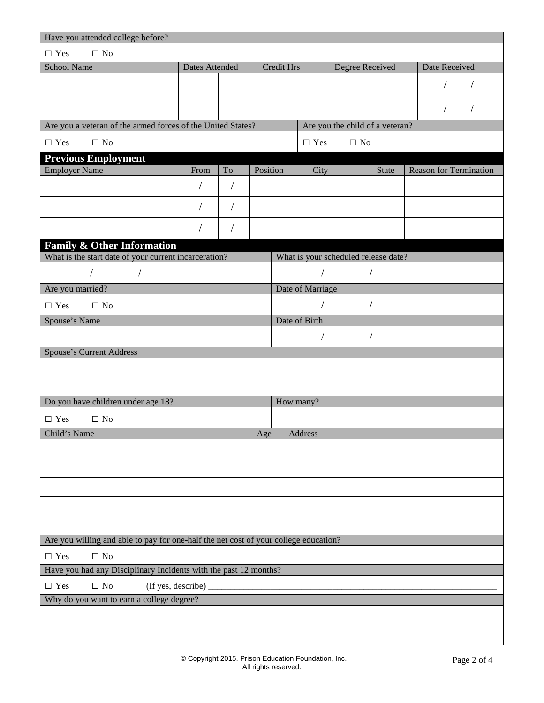| Have you attended college before?                                                                    |                       |            |          |            |                  |                                      |               |                               |
|------------------------------------------------------------------------------------------------------|-----------------------|------------|----------|------------|------------------|--------------------------------------|---------------|-------------------------------|
| $\square$ No<br>$\Box$ Yes                                                                           |                       |            |          |            |                  |                                      |               |                               |
| School Name                                                                                          | <b>Dates Attended</b> |            |          | Credit Hrs |                  | Degree Received                      |               | Date Received                 |
|                                                                                                      |                       |            |          |            |                  |                                      |               |                               |
|                                                                                                      |                       |            |          |            |                  |                                      |               |                               |
|                                                                                                      |                       |            |          |            |                  |                                      |               | $\sqrt{2}$<br>$\sqrt{2}$      |
| Are you a veteran of the armed forces of the United States?                                          |                       |            |          |            |                  | Are you the child of a veteran?      |               |                               |
| $\Box$ No<br>$\Box$ Yes                                                                              |                       |            |          |            | $\Box$ Yes       | $\Box$ No                            |               |                               |
| <b>Previous Employment</b>                                                                           |                       |            |          |            |                  |                                      |               |                               |
| <b>Employer Name</b>                                                                                 | From                  | To         | Position |            | City             |                                      | <b>State</b>  | <b>Reason for Termination</b> |
|                                                                                                      | $\overline{1}$        | $\sqrt{2}$ |          |            |                  |                                      |               |                               |
|                                                                                                      |                       | $\sqrt{2}$ |          |            |                  |                                      |               |                               |
|                                                                                                      |                       |            |          |            |                  |                                      |               |                               |
| <b>Family &amp; Other Information</b>                                                                |                       |            |          |            |                  |                                      |               |                               |
| What is the start date of your current incarceration?                                                |                       |            |          |            |                  | What is your scheduled release date? |               |                               |
| $\sqrt{2}$                                                                                           |                       |            |          |            | $\sqrt{2}$       |                                      | $\frac{1}{2}$ |                               |
| Are you married?                                                                                     |                       |            |          |            | Date of Marriage |                                      |               |                               |
| $\Box$ Yes<br>$\Box$ No                                                                              |                       |            |          |            |                  | $\sqrt{2}$                           |               |                               |
| Spouse's Name                                                                                        |                       |            |          |            | Date of Birth    |                                      |               |                               |
|                                                                                                      |                       |            |          |            |                  |                                      | $\sqrt{2}$    |                               |
| <b>Spouse's Current Address</b>                                                                      |                       |            |          |            |                  |                                      |               |                               |
|                                                                                                      |                       |            |          |            |                  |                                      |               |                               |
|                                                                                                      |                       |            |          |            |                  |                                      |               |                               |
| Do you have children under age 18?                                                                   |                       |            |          | How many?  |                  |                                      |               |                               |
| $\Box$ Yes<br>$\Box$ No                                                                              |                       |            |          |            |                  |                                      |               |                               |
| Child's Name                                                                                         |                       |            | Age      |            | Address          |                                      |               |                               |
|                                                                                                      |                       |            |          |            |                  |                                      |               |                               |
|                                                                                                      |                       |            |          |            |                  |                                      |               |                               |
|                                                                                                      |                       |            |          |            |                  |                                      |               |                               |
|                                                                                                      |                       |            |          |            |                  |                                      |               |                               |
|                                                                                                      |                       |            |          |            |                  |                                      |               |                               |
|                                                                                                      |                       |            |          |            |                  |                                      |               |                               |
| Are you willing and able to pay for one-half the net cost of your college education?                 |                       |            |          |            |                  |                                      |               |                               |
|                                                                                                      |                       |            |          |            |                  |                                      |               |                               |
| $\Box$ No<br>$\hfill\Box$<br>Yes<br>Have you had any Disciplinary Incidents with the past 12 months? |                       |            |          |            |                  |                                      |               |                               |
|                                                                                                      |                       |            |          |            |                  |                                      |               |                               |
| $\Box$ Yes<br>$\Box$ No<br>(If yes, describe) _<br>Why do you want to earn a college degree?         |                       |            |          |            |                  |                                      |               |                               |
|                                                                                                      |                       |            |          |            |                  |                                      |               |                               |
|                                                                                                      |                       |            |          |            |                  |                                      |               |                               |
|                                                                                                      |                       |            |          |            |                  |                                      |               |                               |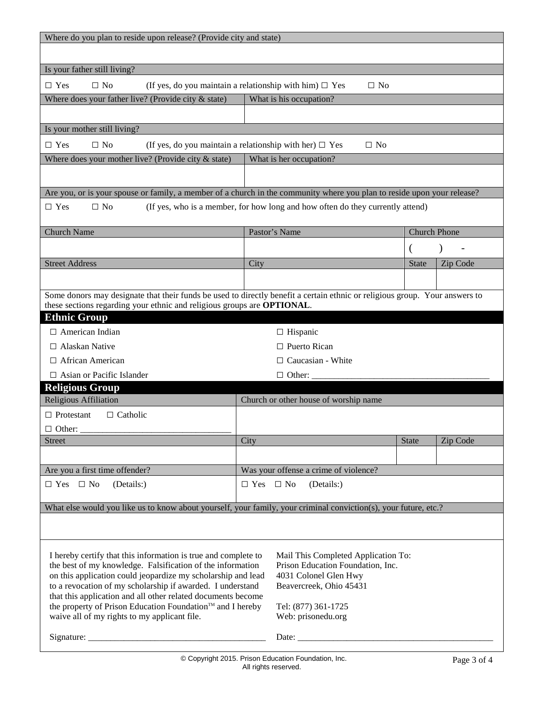| Where do you plan to reside upon release? (Provide city and state)                                                          |                      |                                                                                |                     |          |  |  |
|-----------------------------------------------------------------------------------------------------------------------------|----------------------|--------------------------------------------------------------------------------|---------------------|----------|--|--|
|                                                                                                                             |                      |                                                                                |                     |          |  |  |
| Is your father still living?                                                                                                |                      |                                                                                |                     |          |  |  |
| $\Box$ No<br>$\Box$ Yes<br>(If yes, do you maintain a relationship with him) $\Box$ Yes<br>$\Box$ No                        |                      |                                                                                |                     |          |  |  |
| Where does your father live? (Provide city $&$ state)                                                                       |                      | What is his occupation?                                                        |                     |          |  |  |
|                                                                                                                             |                      |                                                                                |                     |          |  |  |
| Is your mother still living?                                                                                                |                      |                                                                                |                     |          |  |  |
| $\Box$ No<br>$\Box$ Yes<br>(If yes, do you maintain a relationship with her) $\Box$ Yes                                     |                      | $\Box$ No                                                                      |                     |          |  |  |
| Where does your mother live? (Provide city $&$ state)                                                                       |                      | What is her occupation?                                                        |                     |          |  |  |
|                                                                                                                             |                      |                                                                                |                     |          |  |  |
| Are you, or is your spouse or family, a member of a church in the community where you plan to reside upon your release?     |                      |                                                                                |                     |          |  |  |
| $\Box$ Yes<br>$\Box$ No                                                                                                     |                      | (If yes, who is a member, for how long and how often do they currently attend) |                     |          |  |  |
|                                                                                                                             |                      |                                                                                |                     |          |  |  |
| <b>Church Name</b>                                                                                                          |                      | Pastor's Name                                                                  | <b>Church Phone</b> |          |  |  |
|                                                                                                                             |                      |                                                                                |                     |          |  |  |
| <b>Street Address</b>                                                                                                       | City                 |                                                                                | <b>State</b>        | Zip Code |  |  |
|                                                                                                                             |                      |                                                                                |                     |          |  |  |
| Some donors may designate that their funds be used to directly benefit a certain ethnic or religious group. Your answers to |                      |                                                                                |                     |          |  |  |
| these sections regarding your ethnic and religious groups are OPTIONAL.                                                     |                      |                                                                                |                     |          |  |  |
| <b>Ethnic Group</b>                                                                                                         |                      |                                                                                |                     |          |  |  |
| $\Box$ American Indian                                                                                                      |                      | $\Box$ Hispanic                                                                |                     |          |  |  |
| $\Box$ Alaskan Native                                                                                                       |                      | $\Box$ Puerto Rican                                                            |                     |          |  |  |
| $\Box$ African American                                                                                                     |                      | $\Box$ Caucasian - White                                                       |                     |          |  |  |
| $\Box$ Asian or Pacific Islander                                                                                            |                      | $\Box$ Other:                                                                  |                     |          |  |  |
| <b>Religious Group</b>                                                                                                      |                      |                                                                                |                     |          |  |  |
| Religious Affiliation<br>$\Box$ Protestant<br>$\Box$ Catholic                                                               |                      | Church or other house of worship name                                          |                     |          |  |  |
|                                                                                                                             |                      |                                                                                |                     |          |  |  |
| $\Box$ Other:<br><b>Street</b>                                                                                              | City                 |                                                                                | <b>State</b>        | Zip Code |  |  |
|                                                                                                                             |                      |                                                                                |                     |          |  |  |
| Are you a first time offender?                                                                                              |                      | Was your offense a crime of violence?                                          |                     |          |  |  |
| $\Box$ Yes $\Box$ No<br>(Details:)                                                                                          | $\Box$ Yes $\Box$ No | (Details:)                                                                     |                     |          |  |  |
|                                                                                                                             |                      |                                                                                |                     |          |  |  |
| What else would you like us to know about yourself, your family, your criminal conviction(s), your future, etc.?            |                      |                                                                                |                     |          |  |  |
|                                                                                                                             |                      |                                                                                |                     |          |  |  |
|                                                                                                                             |                      |                                                                                |                     |          |  |  |
| I hereby certify that this information is true and complete to                                                              |                      | Mail This Completed Application To:                                            |                     |          |  |  |
| the best of my knowledge. Falsification of the information                                                                  |                      | Prison Education Foundation, Inc.                                              |                     |          |  |  |
| on this application could jeopardize my scholarship and lead<br>to a revocation of my scholarship if awarded. I understand  |                      | 4031 Colonel Glen Hwy<br>Beavercreek, Ohio 45431                               |                     |          |  |  |
| that this application and all other related documents become                                                                |                      |                                                                                |                     |          |  |  |
| the property of Prison Education Foundation™ and I hereby                                                                   |                      | Tel: (877) 361-1725                                                            |                     |          |  |  |
| waive all of my rights to my applicant file.                                                                                |                      | Web: prisonedu.org                                                             |                     |          |  |  |
|                                                                                                                             |                      |                                                                                |                     |          |  |  |
|                                                                                                                             |                      | @ Convright 2015 Drigon Education Foundation Inc.                              |                     |          |  |  |